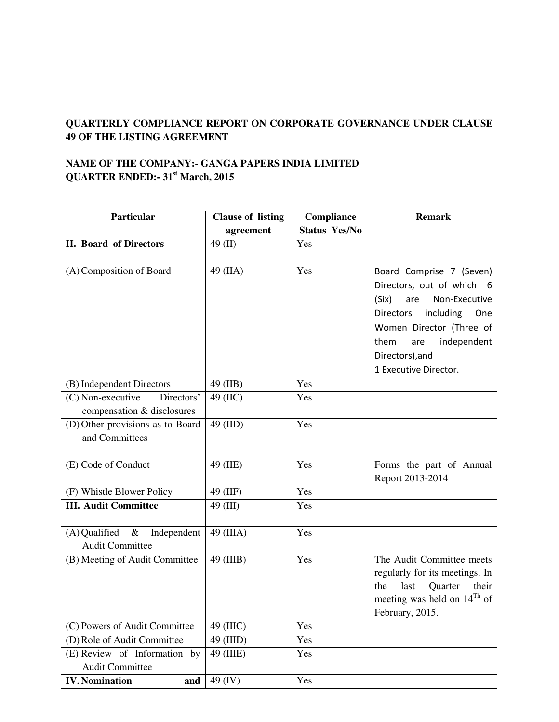## **QUARTERLY COMPLIANCE REPORT ON CORPORATE GOVERNANCE UNDER CLAUSE 49 OF THE LISTING AGREEMENT**

## **NAME OF THE COMPANY:- GANGA PAPERS INDIA LIMITED QUARTER ENDED:- 31st March, 2015**

| Particular                       | <b>Clause of listing</b> | Compliance           | <b>Remark</b>                           |
|----------------------------------|--------------------------|----------------------|-----------------------------------------|
|                                  | agreement                | <b>Status Yes/No</b> |                                         |
| <b>II. Board of Directors</b>    | $49$ (II)                | Yes                  |                                         |
|                                  |                          |                      |                                         |
| (A) Composition of Board         | 49 (IIA)                 | Yes                  | Board Comprise 7 (Seven)                |
|                                  |                          |                      | Directors, out of which 6               |
|                                  |                          |                      | (Six)<br>are<br>Non-Executive           |
|                                  |                          |                      | including<br><b>Directors</b><br>One    |
|                                  |                          |                      | Women Director (Three of                |
|                                  |                          |                      | independent<br>them<br>are              |
|                                  |                          |                      | Directors), and                         |
|                                  |                          |                      | 1 Executive Director.                   |
| (B) Independent Directors        | 49 (IIB)                 | Yes                  |                                         |
| (C) Non-executive<br>Directors'  | 49 (IIC)                 | Yes                  |                                         |
| compensation & disclosures       |                          |                      |                                         |
| (D) Other provisions as to Board | 49 (IID)                 | Yes                  |                                         |
| and Committees                   |                          |                      |                                         |
|                                  |                          |                      |                                         |
| (E) Code of Conduct              | 49 (IIE)                 | Yes                  | Forms the part of Annual                |
|                                  |                          |                      | Report 2013-2014                        |
| (F) Whistle Blower Policy        | 49 (IIF)                 | Yes                  |                                         |
| <b>III.</b> Audit Committee      | 49 (III)                 | Yes                  |                                         |
| $(A)$ Qualified &<br>Independent | $49$ (IIIA)              | Yes                  |                                         |
| <b>Audit Committee</b>           |                          |                      |                                         |
| (B) Meeting of Audit Committee   | 49 (IIIB)                | Yes                  | The Audit Committee meets               |
|                                  |                          |                      | regularly for its meetings. In          |
|                                  |                          |                      | Quarter<br>the<br>last<br>their         |
|                                  |                          |                      | meeting was held on 14 <sup>Th</sup> of |
|                                  |                          |                      | February, 2015.                         |
| (C) Powers of Audit Committee    | 49 (IIIC)                | Yes                  |                                         |
| (D) Role of Audit Committee      | 49 (IIID)                | Yes                  |                                         |
| (E) Review of Information by     | $49$ (IIIE)              | Yes                  |                                         |
| <b>Audit Committee</b>           |                          |                      |                                         |
| <b>IV.</b> Nomination<br>and     | 49 (IV)                  | Yes                  |                                         |